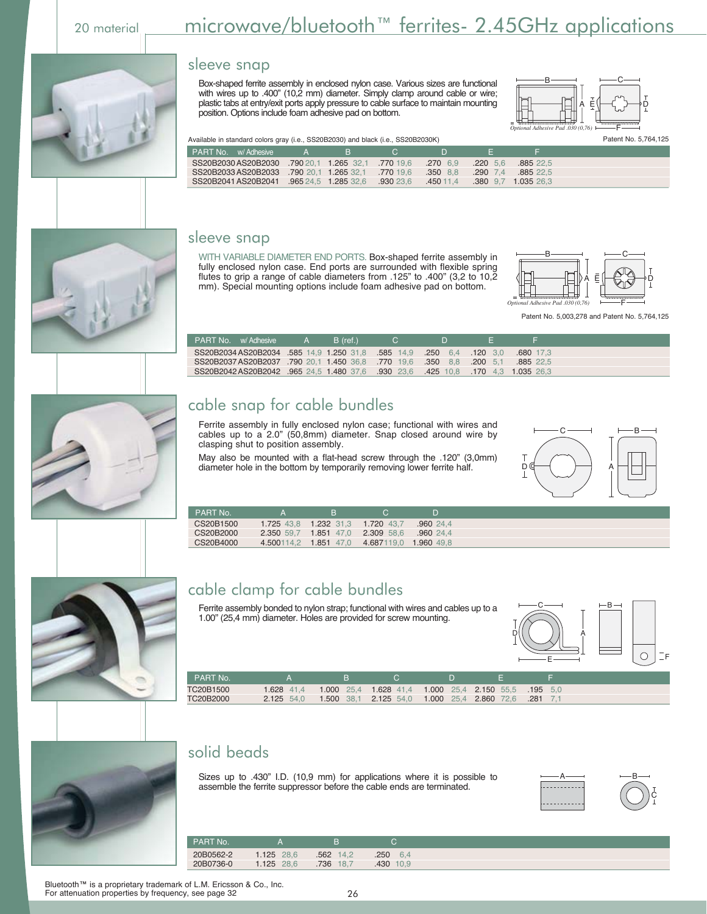# 20 material <u>microwave/bluetooth™ ferrites- 2.45GHz applications</u>

|                                                                                  |  |                     |              |             |           | Optional Adhesive Pad .030 (0,76) $\longleftarrow$ $\longleftarrow$ $\longleftarrow$ $\longleftarrow$ |
|----------------------------------------------------------------------------------|--|---------------------|--------------|-------------|-----------|-------------------------------------------------------------------------------------------------------|
| Available in standard colors gray (i.e., SS20B2030) and black (i.e., SS20B2030K) |  |                     |              |             |           | Patent No. 5.764.125                                                                                  |
| <b>PART No.</b> w/Adhesive A B                                                   |  | $\sim$ 0.000 $\sim$ | - 12 Million | - 50        |           |                                                                                                       |
| SS20B2030 AS20B2030 .790 20.1 1.265 32.1 .770 19.6 .270 6.9                      |  |                     |              | $.220\ 5.6$ | .885 22.5 |                                                                                                       |
| SS20B2033AS20B2033 .790 20.1 1.265 32.1 .770 19.6                                |  |                     | $.350$ 8.8   | $.290\;7.4$ | .885 22.5 |                                                                                                       |

### sleeve snap

WITH VARIABLE DIAMETER END PORTS. Box-shaped ferrite assembly in fully enclosed nylon case. End ports are surrounded with flexible spring flutes to grip a range of cable diameters from .125" to .400" (3,2 to 10,2 mm). Special mounting options include foam adhesive pad on bottom.

Box-shaped ferrite assembly in enclosed nylon case. Various sizes are functional with wires up to .400" (10,2 mm) diameter. Simply clamp around cable or wire; plastic tabs at entry/exit ports apply pressure to cable surface to maintain mounting

position. Options include foam adhesive pad on bottom.



 $B$  —  $-C$ 

F

A E\├──( )───)D

Patent No. 5,003,278 and Patent No. 5,764,125

 $c \longrightarrow \quad \longmapsto$ 

| PART No. w/Adhesive                                                              | $\overline{\phantom{a}}$ $\overline{\phantom{a}}$ $\overline{\phantom{a}}$ $\overline{\phantom{a}}$ | B (ref.) | $\Box$ |           |  |
|----------------------------------------------------------------------------------|-----------------------------------------------------------------------------------------------------|----------|--------|-----------|--|
| 0.0 120 120 1.8 585 14.9 1.250 128 585 14.9 1.250 14.9 5820B2034 AS20B2034       |                                                                                                     |          |        | .680 17.3 |  |
| SS20B2037 AS20B2037 .790 20.1 1.450 36.8 .770 19.6 .350 8.8 .200 5.1             |                                                                                                     |          |        | .885 22.5 |  |
| SS20B2042 AS20B2042 .965 24.5 1.480 37.6 .930 23.6 .425 10.8 .170 4.3 1.035 26.3 |                                                                                                     |          |        |           |  |

### cable snap for cable bundles

Ferrite assembly in fully enclosed nylon case; functional with wires and cables up to a 2.0" (50,8mm) diameter. Snap closed around wire by clasping shut to position assembly.

May also be mounted with a flat-head screw through the .120" (3,0mm) diameter hole in the bottom by temporarily removing lower ferrite half.



### cable clamp for cable bundles

Ferrite assembly bonded to nylon strap; functional with wires and cables up to a 1.00" (25,4 mm) diameter. Holes are provided for screw mounting.

4.687119,0



| PART No.  |            |                                                                |  |  |
|-----------|------------|----------------------------------------------------------------|--|--|
| TC20B1500 |            | 1.628 41.4 1.000 25.4 1.628 41.4 1.000 25.4 2.150 55.5 195 5.0 |  |  |
| TC20B2000 | 2.125 54.0 | 1.500 38.1 2.125 54.0 1.000 25.4 2.860 72.6 .281 7.1           |  |  |

## solid beads

Sizes up to .430" I.D. (10,9 mm) for applications where it is possible to assemble the ferrite suppressor before the cable ends are terminated.



| PART No.  |            |              |              |
|-----------|------------|--------------|--------------|
| 20B0562-2 | 1.125 28.6 | .562 14,2    | 250<br>6.4   |
| 20B0736-0 | 1.125 28.6 | .736<br>18.7 | .430<br>10.9 |







Bluetooth™ is a proprietary trademark of L.M. Ericsson & Co., Inc.<br>For attenuation properties by frequency, see page 32

SS20B2041 AS20B2041 .965 24,5 1.285 32,6 .930 23,6 .450 11,4 .380 9,7 1.035 26,3

sleeve snap